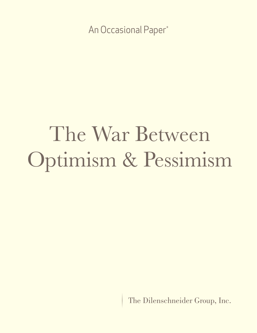An Occasional Paper\*

# The War Between Optimism & Pessimism

The Dilenschneider Group, Inc.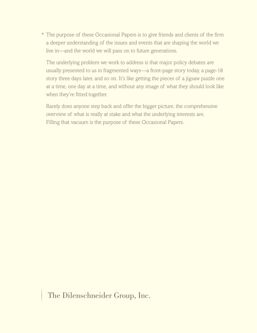\* The purpose of these Occasional Papers is to give friends and clients of the firm a deeper understanding of the issues and events that are shaping the world we live in—and the world we will pass on to future generations.

 The underlying problem we work to address is that major policy debates are usually presented to us in fragmented ways—a front-page story today, a page-18 story three days later, and so on. It's like getting the pieces of a jigsaw puzzle one at a time, one day at a time, and without any image of what they should look like when they're fitted together.

 Rarely does anyone step back and offer the bigger picture, the comprehensive overview of what is really at stake and what the underlying interests are. Filling that vacuum is the purpose of these Occasional Papers.

The Dilenschneider Group, Inc.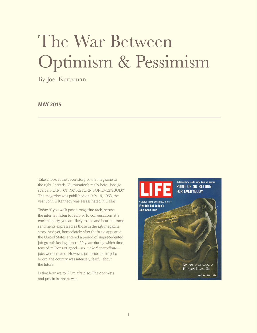## The War Between Optimism & Pessimism

By Joel Kurtzman

#### **MAY 2015**

Take a look at the cover story of the magazine to the right. It reads, "Automation's really here. Jobs go scarce. POINT OF NO RETURN FOR EVERYBODY." The magazine was published on July 19, 1963, the year John F. Kennedy was assassinated in Dallas.

Today, if you walk past a magazine rack, peruse the internet, listen to radio or to conversations at a cocktail party, you are likely to see and hear the same sentiments expressed as those in the *Life* magazine story. And yet, immediately after the issue appeared the United States entered a period of unprecedented job growth lasting almost 50 years during which time tens of millions of good—*no*, *make that excellent!* jobs were created. However, just prior to this jobs boom, the country was intensely fearful about the future.

Is that how we roll? I'm afraid so. The optimists and pessimist are at war.

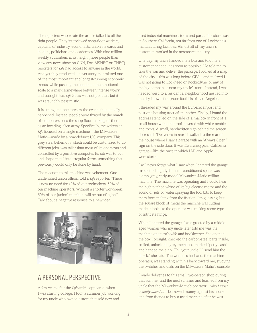The reporters who wrote the article talked to all the right people. They interviewed shop-floor workers, captains of industry, economists, union stewards and leaders, politicians and academics. With nine million weekly subscribers at its height (more people than view any news show on CNN, Fox, MSNBC or CNBC) reporters for *Life* had access to anyone in the world. And yet they produced a cover story that missed one of the most important and longest-running economic trends, while pushing the needle on the emotional scale to a mark somewhere between intense worry and outright fear. *Life's* bias was not political, but it was staunchly pessimistic.

It is strange no one foresaw the events that actually happened. Instead, people were fixated by the march of computers onto the shop floor thinking of them as an invading, alien army. Specifically, the writers at *Life* focused on a single machine—the Milwaukee-Matic—made by a now-defunct U.S. company. This grey steel behemoth, which could be customized to do different jobs, was taller than most of its operators and controlled by a primitive computer. Its job was to cut and shape metal into irregular forms, something that previously could only be done by hand.

The reaction to this machine was vehement. One unidentified union official told a *Life* reporter, "There is now no need for 40% of our toolmakers, 50% of our machine operators. Without a shorter workweek, 60% of our [union] members will be out of a job." Talk about a negative response to a new idea.



## A PERSONAL PERSPECTIVE

A few years after the *Life* article appeared, when I was starting college, I took a summer job working for my uncle who owned a store that sold new and

used industrial machines, tools and parts. The store was in Southern California, not far from one of Lockheed's manufacturing facilities. Almost all of my uncle's customers worked in the aerospace industry.

One day, my uncle handed me a box and told me a customer needed it as soon as possible. He told me to take the van and deliver the package. I looked at a map of the city—this was long before GPS—and realized I was not going to Lockheed or Rocketdyne, or any of the big companies near my uncle's store. Instead, I was headed west, to a residential neighborhood nestled into the dry, brown, fire-prone foothills of Los Angeles.

I threaded my way around the Burbank airport and past one housing tract after another. Finally, I found the address stenciled on the side of a mailbox in front of a small house with a flat roof covered with white pebbles and rocks. A small, handwritten sign behind the screen door said, "Deliveries in rear." I walked to the rear of the house where I saw a garage with an "Always Open," sign on the side door. It was *the* archetypical California garage—like the ones in which H-P and Apple were started.

I will never forget what I saw when I entered the garage. Inside the brightly-lit, unair-conditioned space was a drab, grey, early-model Milwaukee-Matic milling machine. The machine was operating and I could hear the high pitched whine of its big electric motor and the sound of jets of water spraying the tool bits to keep them from melting from the friction. I'm guessing, but the square block of metal the machine was cutting made it look like the operator was making some type of intricate hinge.

When I entered the garage, I was greeted by a middleaged woman who my uncle later told me was the machine operator's wife and bookkeeper. She opened the box I brought, checked the carbon-steel parts inside, smiled, unlocked a grey metal box marked "petty cash" and handed me a tip. "Tell your uncle I'll send him the check," she said. The woman's husband, the machine operator, was standing with his back toward me, studying the switches and dials on the Milwaukee-Matic's console.

I made deliveries to this small two-person shop during that summer and the next summer and learned from my uncle that the Milwaukee-Matic's operator—*who I never actually talked to*—borrowed money against his house and from friends to buy a used machine after he was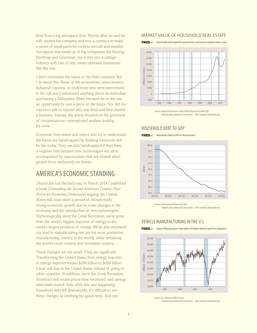fired from a big aerospace firm. Shortly after, he and his wife started the company and won a contract to make a series of small parts for rockets, aircraft and missiles. Aerospace was made up of big companies like Boeing, Northrup and Grumman, but it was also a cottage industry with lots of tiny, owner-operated businesses like this one.

I don't remember the name of the little company. But I do know this: None of the economists, union leaders, industrial captains, or professors who were interviewed in the *Life* story mentioned anything about an individual purchasing a Milwaukee-Matic because he or she saw an opportunity to own a piece of the future. Nor did the reporters talk to anyone who was fired and then started a business. Instead, the article focused on the grimmest of circumstances—unemployed workers looking for work.

Economic forecasters and others who try to understand the future are handicapped by thinking tomorrow will be like today. They are also handicapped if they have a negative bias because new technologies are often accompanied by opportunities that are missed when people focus exclusively on threats.

## AMERICA'S ECONOMIC STANDING

I found this out the hard way. In March 2014 I published a book (*Unleashing the Second American Century: Four Forces for Economic Dominance*) arguing the United States will soon enter a period of exceptionally strong economic growth due to some changes in the economy and the introduction of new technologies. Technologically, since the Great Recession, we've gone from the world's biggest importer of energy to the world's largest producer of energy. We've also increased our lead in manufacturing (we are the most productive manufacturing country in the world), while remaining the world's most creative and innovative country.

These changes are not small. They are significant. Transforming the United States from energy importer to energy exporter means \$200 billion to \$300 billion a year will stay in the United States instead of going to other countries. In addition, since the Great Recession, America's real estate prices have recovered, and savings rates have soared. And, while this was happening, household debt fell dramatically. It's difficult to see these changes as anything but good news. And yet...

#### MARKET VALUE OF HOUSEHOLD REAL ESTATE

**Households and nonprofit organizations; real estate at market value, Level**



Source: Board of Governors of the Federal Reserve System (US) Shaded areas indicate US recessions – 2015 research.stlouisfed.org

#### HOUSEHOLD DEBT TO GDP

**FRED**  $\mathbb{Z}$  Households Debt to GDP for United States®





#### VEHICLE MANUFACTURING IN THE U.S.





Source: U.S. Bureau of the Census

Shaded areas indicate US recessions – 2015 research.stlouisfed.org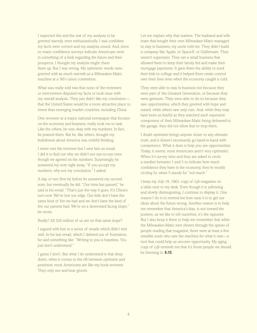I expected this and the rest of my analysis to be greeted warmly, even enthusiastically. I was confident my facts were correct and my analysis sound. And, since so many confidence surveys indicate Americans were in something of a funk regarding the future and their prospects, I thought my analysis might cheer them up. But I was wrong. My optimistic words were greeted with as much warmth as a Milwaukee-Matic machine at a '60's union convention.

What was really odd was that none of the reviewers or interviewers disputed my facts or took issue with my overall analysis. They just didn't like my conclusion that the United States would be a more attractive place to invest than emerging market countries, including China.

One reviewer at a major, national newspaper that focuses on the economy and business, really took me to task. Like the others, he was okay with my numbers. In fact, he praised them. But he, like others, thought my bullishness about America was wishful thinking.

I never met the reviewer but I sent him an email. I did it to find out why we didn't see eye-to-eye even though we agreed on the numbers. Surprisingly, he answered my note right away. "If you accept my numbers, why not my conclusion," I asked.

A day or two flew by before he answered my second note, but eventually he did. "Our time has passed," he said in his email. "That's just the way it goes. It's China's turn now. We've lost our edge. Our kids don't have the same kind of fire we had and we don't have the kind of fire our parents had. We're on a downward facing slope," he wrote.

Really? All 320 million of us are on that same slope?

I argued with him in a series of emails which didn't end well. In his last email, which I deleted out of frustration, he said something like: "Writing to you is hopeless. You just don't understand."

I guess I don't. But what I do understand is that deep down, when it comes to the rift between optimists and pessimist, most Americans are like my book reviewer. They only see and hear gloom.

Let me explain why that matters. The husband and wife team that bought their own Milwaukee-Matic managed to stay in business, my uncle told me. They didn't build a company like Apple, or SpaceX, or Gulfstream. They weren't superstars. They ran a small business that allowed them to keep their family fed and make their mortgage payments. It gave them the ability to send their kids to college and it helped them retain control over their lives even when the economy caught a cold.

They were able to stay in business not because they were part of the Greatest Generation, or because they were geniuses. They were able to do so because they saw opportunities, which they greeted with hope and seized, while others saw only ruin. And, while they may have been as fearful as they watched each expensive component of their Milwaukee-Matic being delivered to the garage, they did not allow fear to stop them.

I doubt optimism brings anyone closer to any ultimate truth, and it doesn't necessarily go hand-in-hand with competence. What it does is help you see opportunities. Today, it seems, most Americans aren't very optimistic. When it's survey time and they are asked to circle a number between 1 and 5 to indicate how much confidence they have in the economy, they're mostly circling 5s, when 5 stands for "not much."

I keep my July 19, 1963, copy of *Life* magazine on a table next to my desk. Even though it is yellowing and slowly disintegrating, I continue to display it. One reason I do is to remind me how easy it is to get our ideas about the future wrong. Another reason is to help me remember that America's bias, is not toward the positive, as we like to tell ourselves, it's the opposite. But I also keep it there to help me remember that while the Milwaukee-Matic sent shivers through the spines of people reading that magazine, there were at least a few sensible souls who saw the machine for what it was—a tool that could help us uncover opportunity. My aging copy of *Life* reminds me that it's those people we should be listening to. ❚ **JK**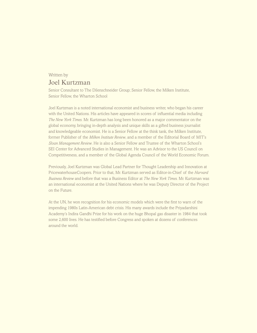## Written by Joel Kurtzman

Senior Consultant to The Dilenschneider Group; Senior Fellow, the Milken Institute, Senior Fellow, the Wharton School

Joel Kurtzman is a noted international economist and business writer, who began his career with the United Nations. His articles have appeared in scores of influential media including *The New York Times*. Mr. Kurtzman has long been honored as a major commentator on the global economy, bringing in-depth analysis and unique skills as a gifted business journalist and knowledgeable economist. He is a Senior Fellow at the think tank, the Milken Institute, former Publisher of the *Milken Institute Review*, and a member of the Editorial Board of MIT's *Sloan Management Review*. He is also a Senior Fellow and Trustee of the Wharton School's SEI Center for Advanced Studies in Management. He was an Advisor to the US Council on Competitiveness, and a member of the Global Agenda Council of the World Economic Forum.

Previously, Joel Kurtzman was Global Lead Partner for Thought Leadership and Innovation at PricewaterhouseCoopers. Prior to that, Mr. Kurtzman served as Editor-in-Chief of the *Harvard Business Review* and before that was a Business Editor at *The New York Times*. Mr. Kurtzman was an international economist at the United Nations where he was Deputy Director of the Project on the Future.

At the UN, he won recognition for his economic models which were the first to warn of the impending 1980s Latin-American debt crisis. His many awards include the Priyadarshini Academy's Indira Gandhi Prize for his work on the huge Bhopal gas disaster in 1984 that took some 2,600 lives. He has testified before Congress and spoken at dozens of conferences around the world.